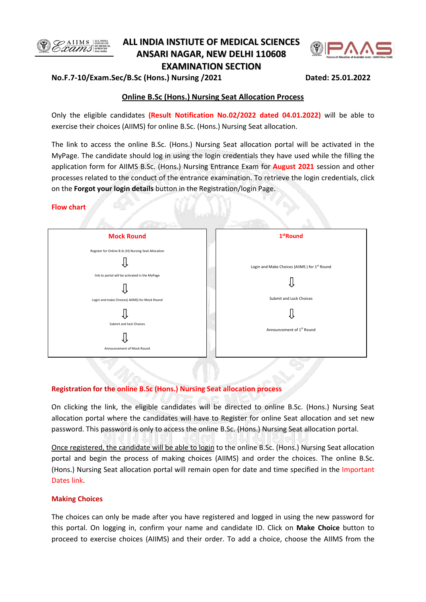

# **ALL INDIA INSTIUTE OF MEDICAL SCIENCES ANSARI NAGAR, NEW DELHI 110608 EXAMINATION SECTION**



## **No.F.7-10/Exam.Sec/B.Sc (Hons.) Nursing /2021 Dated: 25.01.2022**

# **Online B.Sc (Hons.) Nursing Seat Allocation Process**

Only the eligible candidates **(Result Notification No.02/2022 dated 04.01.2022)** will be able to exercise their choices (AIIMS) for online B.Sc. (Hons.) Nursing Seat allocation.

The link to access the online B.Sc. (Hons.) Nursing Seat allocation portal will be activated in the MyPage. The candidate should log in using the login credentials they have used while the filling the application form for AIIMS B.Sc. (Hons.) Nursing Entrance Exam for **August 2021** session and other processes related to the conduct of the entrance examination. To retrieve the login credentials, click on the **Forgot your login details** button in the Registration/login Page.

### **Flow chart**



#### **Registration for the online B.Sc (Hons.) Nursing Seat allocation process**

On clicking the link, the eligible candidates will be directed to online B.Sc. (Hons.) Nursing Seat allocation portal where the candidates will have to Register for online Seat allocation and set new password. This password is only to access the online B.Sc. (Hons.) Nursing Seat allocation portal.

Once registered, the candidate will be able to login to the online B.Sc. (Hons.) Nursing Seat allocation portal and begin the process of making choices (AIIMS) and order the choices. The online B.Sc. (Hons.) Nursing Seat allocation portal will remain open for date and time specified in the Important Dates link.

## **Making Choices**

The choices can only be made after you have registered and logged in using the new password for this portal. On logging in, confirm your name and candidate ID. Click on **Make Choice** button to proceed to exercise choices (AIIMS) and their order. To add a choice, choose the AIIMS from the